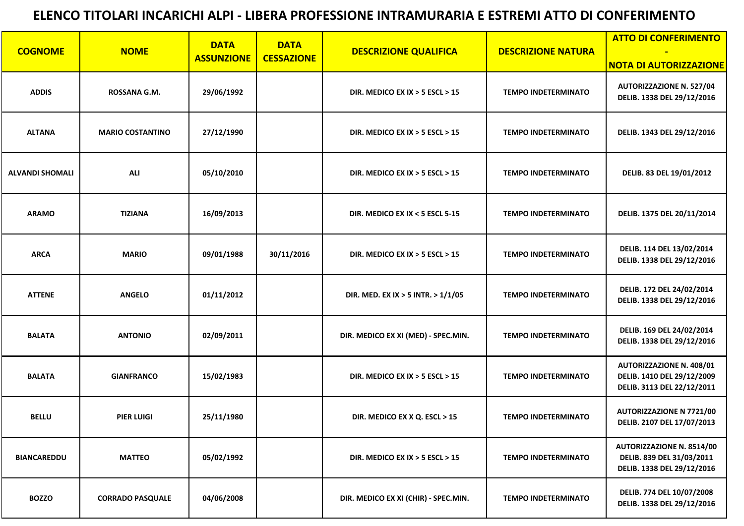|                        |                         | <b>DATA</b><br><b>DATA</b> |                   | <b>ATTO DI CONFERIMENTO</b>          |                            |                                                                                             |
|------------------------|-------------------------|----------------------------|-------------------|--------------------------------------|----------------------------|---------------------------------------------------------------------------------------------|
| <b>COGNOME</b>         | <b>NOME</b>             | <b>ASSUNZIONE</b>          | <b>CESSAZIONE</b> | <b>DESCRIZIONE QUALIFICA</b>         | <b>DESCRIZIONE NATURA</b>  | <b>NOTA DI AUTORIZZAZIONE</b>                                                               |
| <b>ADDIS</b>           | <b>ROSSANA G.M.</b>     | 29/06/1992                 |                   | DIR. MEDICO EX IX $>$ 5 ESCL $>$ 15  | <b>TEMPO INDETERMINATO</b> | <b>AUTORIZZAZIONE N. 527/04</b><br>DELIB. 1338 DEL 29/12/2016                               |
| <b>ALTANA</b>          | <b>MARIO COSTANTINO</b> | 27/12/1990                 |                   | DIR. MEDICO EX IX $>$ 5 ESCL $>$ 15  | <b>TEMPO INDETERMINATO</b> | DELIB. 1343 DEL 29/12/2016                                                                  |
| <b>ALVANDI SHOMALI</b> | <b>ALI</b>              | 05/10/2010                 |                   | DIR. MEDICO EX IX $>$ 5 ESCL $>$ 15  | <b>TEMPO INDETERMINATO</b> | DELIB. 83 DEL 19/01/2012                                                                    |
| <b>ARAMO</b>           | <b>TIZIANA</b>          | 16/09/2013                 |                   | DIR. MEDICO EX IX < 5 ESCL 5-15      | <b>TEMPO INDETERMINATO</b> | DELIB. 1375 DEL 20/11/2014                                                                  |
| <b>ARCA</b>            | <b>MARIO</b>            | 09/01/1988                 | 30/11/2016        | DIR. MEDICO EX IX $>$ 5 ESCL $>$ 15  | <b>TEMPO INDETERMINATO</b> | DELIB. 114 DEL 13/02/2014<br>DELIB. 1338 DEL 29/12/2016                                     |
| <b>ATTENE</b>          | <b>ANGELO</b>           | 01/11/2012                 |                   | DIR. MED. EX IX > 5 INTR. > 1/1/05   | <b>TEMPO INDETERMINATO</b> | DELIB. 172 DEL 24/02/2014<br>DELIB. 1338 DEL 29/12/2016                                     |
| <b>BALATA</b>          | <b>ANTONIO</b>          | 02/09/2011                 |                   | DIR. MEDICO EX XI (MED) - SPEC.MIN.  | <b>TEMPO INDETERMINATO</b> | DELIB. 169 DEL 24/02/2014<br>DELIB. 1338 DEL 29/12/2016                                     |
| <b>BALATA</b>          | <b>GIANFRANCO</b>       | 15/02/1983                 |                   | DIR. MEDICO EX IX $>$ 5 ESCL $>$ 15  | <b>TEMPO INDETERMINATO</b> | <b>AUTORIZZAZIONE N. 408/01</b><br>DELIB. 1410 DEL 29/12/2009<br>DELIB. 3113 DEL 22/12/2011 |
| <b>BELLU</b>           | <b>PIER LUIGI</b>       | 25/11/1980                 |                   | DIR. MEDICO EX X Q. ESCL > 15        | <b>TEMPO INDETERMINATO</b> | <b>AUTORIZZAZIONE N 7721/00</b><br>DELIB. 2107 DEL 17/07/2013                               |
| <b>BIANCAREDDU</b>     | <b>MATTEO</b>           | 05/02/1992                 |                   | DIR. MEDICO EX IX $>$ 5 ESCL $>$ 15  | <b>TEMPO INDETERMINATO</b> | <b>AUTORIZZAZIONE N. 8514/00</b><br>DELIB. 839 DEL 31/03/2011<br>DELIB. 1338 DEL 29/12/2016 |
| <b>BOZZO</b>           | <b>CORRADO PASQUALE</b> | 04/06/2008                 |                   | DIR. MEDICO EX XI (CHIR) - SPEC.MIN. | <b>TEMPO INDETERMINATO</b> | DELIB. 774 DEL 10/07/2008<br>DELIB. 1338 DEL 29/12/2016                                     |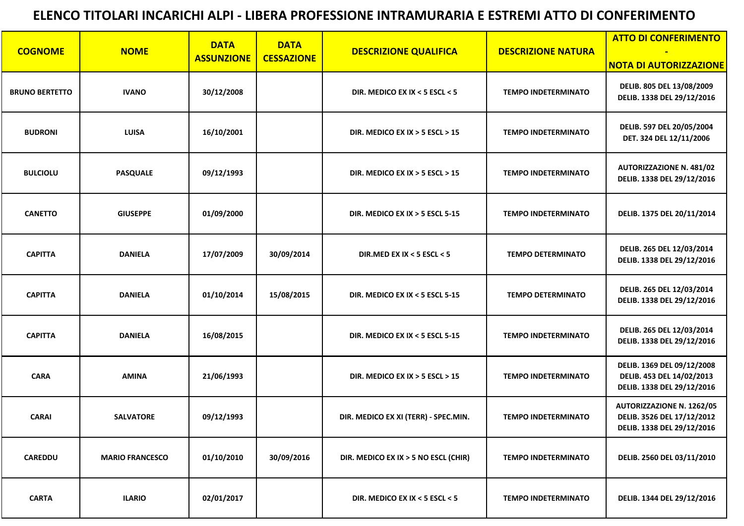|                       |                        | <b>DATA</b>       | <b>DATA</b>       |                                      |                            | <b>ATTO DI CONFERIMENTO</b>                                                                  |
|-----------------------|------------------------|-------------------|-------------------|--------------------------------------|----------------------------|----------------------------------------------------------------------------------------------|
| <b>COGNOME</b>        | <b>NOME</b>            | <b>ASSUNZIONE</b> | <b>CESSAZIONE</b> | <b>DESCRIZIONE QUALIFICA</b>         | <b>DESCRIZIONE NATURA</b>  | <b>NOTA DI AUTORIZZAZIONE</b>                                                                |
| <b>BRUNO BERTETTO</b> | <b>IVANO</b>           | 30/12/2008        |                   | DIR. MEDICO EX IX < 5 ESCL < 5       | <b>TEMPO INDETERMINATO</b> | DELIB. 805 DEL 13/08/2009<br>DELIB. 1338 DEL 29/12/2016                                      |
| <b>BUDRONI</b>        | <b>LUISA</b>           | 16/10/2001        |                   | DIR. MEDICO EX IX $>$ 5 ESCL $>$ 15  | <b>TEMPO INDETERMINATO</b> | DELIB. 597 DEL 20/05/2004<br>DET. 324 DEL 12/11/2006                                         |
| <b>BULCIOLU</b>       | <b>PASQUALE</b>        | 09/12/1993        |                   | DIR. MEDICO EX IX $>$ 5 ESCL $>$ 15  | <b>TEMPO INDETERMINATO</b> | <b>AUTORIZZAZIONE N. 481/02</b><br>DELIB. 1338 DEL 29/12/2016                                |
| <b>CANETTO</b>        | <b>GIUSEPPE</b>        | 01/09/2000        |                   | DIR. MEDICO EX IX $>$ 5 ESCL 5-15    | <b>TEMPO INDETERMINATO</b> | DELIB. 1375 DEL 20/11/2014                                                                   |
| <b>CAPITTA</b>        | <b>DANIELA</b>         | 17/07/2009        | 30/09/2014        | DIR.MED EX IX < 5 ESCL < 5           | <b>TEMPO DETERMINATO</b>   | DELIB. 265 DEL 12/03/2014<br>DELIB. 1338 DEL 29/12/2016                                      |
| <b>CAPITTA</b>        | <b>DANIELA</b>         | 01/10/2014        | 15/08/2015        | DIR. MEDICO EX IX < 5 ESCL 5-15      | <b>TEMPO DETERMINATO</b>   | DELIB. 265 DEL 12/03/2014<br>DELIB. 1338 DEL 29/12/2016                                      |
| <b>CAPITTA</b>        | <b>DANIELA</b>         | 16/08/2015        |                   | DIR. MEDICO EX IX < 5 ESCL 5-15      | <b>TEMPO INDETERMINATO</b> | DELIB. 265 DEL 12/03/2014<br>DELIB. 1338 DEL 29/12/2016                                      |
| <b>CARA</b>           | <b>AMINA</b>           | 21/06/1993        |                   | DIR. MEDICO EX IX $>$ 5 ESCL $>$ 15  | <b>TEMPO INDETERMINATO</b> | DELIB. 1369 DEL 09/12/2008<br>DELIB. 453 DEL 14/02/2013<br>DELIB. 1338 DEL 29/12/2016        |
| <b>CARAI</b>          | <b>SALVATORE</b>       | 09/12/1993        |                   | DIR. MEDICO EX XI (TERR) - SPEC.MIN. | <b>TEMPO INDETERMINATO</b> | <b>AUTORIZZAZIONE N. 1262/05</b><br>DELIB. 3526 DEL 17/12/2012<br>DELIB. 1338 DEL 29/12/2016 |
| <b>CAREDDU</b>        | <b>MARIO FRANCESCO</b> | 01/10/2010        | 30/09/2016        | DIR. MEDICO EX IX > 5 NO ESCL (CHIR) | <b>TEMPO INDETERMINATO</b> | DELIB. 2560 DEL 03/11/2010                                                                   |
| <b>CARTA</b>          | <b>ILARIO</b>          | 02/01/2017        |                   | DIR. MEDICO EX IX < 5 ESCL < 5       | <b>TEMPO INDETERMINATO</b> | DELIB. 1344 DEL 29/12/2016                                                                   |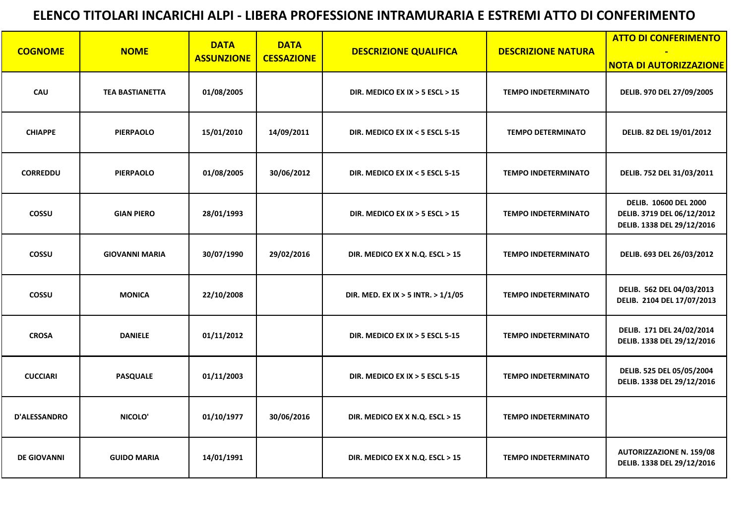| <b>COGNOME</b>      | <b>NOME</b>            | <b>DATA</b><br><b>ASSUNZIONE</b> | <b>DATA</b><br><b>CESSAZIONE</b> | <b>DESCRIZIONE QUALIFICA</b>        | <b>DESCRIZIONE NATURA</b>  | <b>ATTO DI CONFERIMENTO</b><br><b>NOTA DI AUTORIZZAZIONE</b>                             |
|---------------------|------------------------|----------------------------------|----------------------------------|-------------------------------------|----------------------------|------------------------------------------------------------------------------------------|
| <b>CAU</b>          | <b>TEA BASTIANETTA</b> | 01/08/2005                       |                                  | DIR. MEDICO EX IX $>$ 5 ESCL $>$ 15 | <b>TEMPO INDETERMINATO</b> | DELIB. 970 DEL 27/09/2005                                                                |
| <b>CHIAPPE</b>      | <b>PIERPAOLO</b>       | 15/01/2010                       | 14/09/2011                       | DIR. MEDICO EX IX < 5 ESCL 5-15     | <b>TEMPO DETERMINATO</b>   | DELIB. 82 DEL 19/01/2012                                                                 |
| <b>CORREDDU</b>     | <b>PIERPAOLO</b>       | 01/08/2005                       | 30/06/2012                       | DIR. MEDICO EX IX < 5 ESCL 5-15     | <b>TEMPO INDETERMINATO</b> | DELIB. 752 DEL 31/03/2011                                                                |
| <b>COSSU</b>        | <b>GIAN PIERO</b>      | 28/01/1993                       |                                  | DIR. MEDICO EX IX $>$ 5 ESCL $>$ 15 | <b>TEMPO INDETERMINATO</b> | <b>DELIB. 10600 DEL 2000</b><br>DELIB. 3719 DEL 06/12/2012<br>DELIB. 1338 DEL 29/12/2016 |
| <b>COSSU</b>        | <b>GIOVANNI MARIA</b>  | 30/07/1990                       | 29/02/2016                       | DIR. MEDICO EX X N.Q. ESCL > 15     | <b>TEMPO INDETERMINATO</b> | DELIB. 693 DEL 26/03/2012                                                                |
| <b>COSSU</b>        | <b>MONICA</b>          | 22/10/2008                       |                                  | DIR. MED. EX IX > 5 INTR. > 1/1/05  | <b>TEMPO INDETERMINATO</b> | DELIB. 562 DEL 04/03/2013<br>DELIB. 2104 DEL 17/07/2013                                  |
| <b>CROSA</b>        | <b>DANIELE</b>         | 01/11/2012                       |                                  | DIR. MEDICO EX IX $>$ 5 ESCL 5-15   | <b>TEMPO INDETERMINATO</b> | DELIB. 171 DEL 24/02/2014<br>DELIB. 1338 DEL 29/12/2016                                  |
| <b>CUCCIARI</b>     | <b>PASQUALE</b>        | 01/11/2003                       |                                  | DIR. MEDICO EX IX $>$ 5 ESCL 5-15   | <b>TEMPO INDETERMINATO</b> | DELIB. 525 DEL 05/05/2004<br>DELIB. 1338 DEL 29/12/2016                                  |
| <b>D'ALESSANDRO</b> | NICOLO'                | 01/10/1977                       | 30/06/2016                       | DIR. MEDICO EX X N.Q. ESCL > 15     | <b>TEMPO INDETERMINATO</b> |                                                                                          |
| <b>DE GIOVANNI</b>  | <b>GUIDO MARIA</b>     | 14/01/1991                       |                                  | DIR. MEDICO EX X N.Q. ESCL > 15     | <b>TEMPO INDETERMINATO</b> | <b>AUTORIZZAZIONE N. 159/08</b><br>DELIB. 1338 DEL 29/12/2016                            |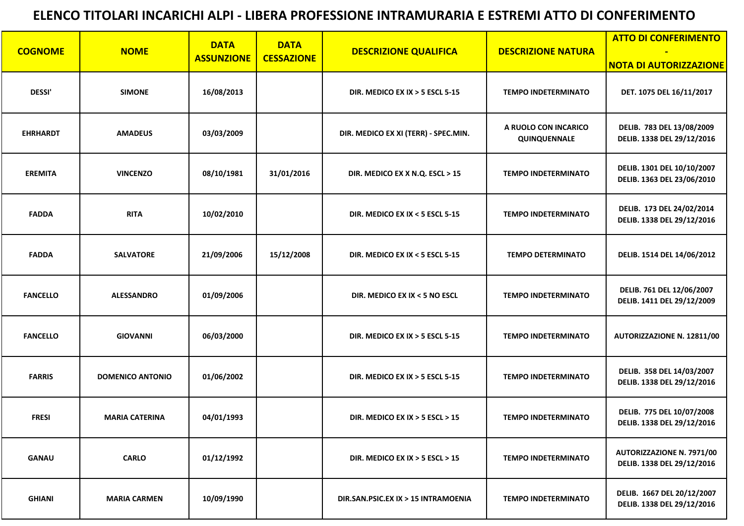|                 |                         | <b>DATA</b>       | <b>DATA</b>       |                                      | <b>ATTO DI CONFERIMENTO</b>          |                                                                |
|-----------------|-------------------------|-------------------|-------------------|--------------------------------------|--------------------------------------|----------------------------------------------------------------|
| <b>COGNOME</b>  | <b>NOME</b>             | <b>ASSUNZIONE</b> | <b>CESSAZIONE</b> | <b>DESCRIZIONE QUALIFICA</b>         | <b>DESCRIZIONE NATURA</b>            | <b>NOTA DI AUTORIZZAZIONE</b>                                  |
| <b>DESSI'</b>   | <b>SIMONE</b>           | 16/08/2013        |                   | DIR. MEDICO EX IX $>$ 5 ESCL 5-15    | <b>TEMPO INDETERMINATO</b>           | DET. 1075 DEL 16/11/2017                                       |
| <b>EHRHARDT</b> | <b>AMADEUS</b>          | 03/03/2009        |                   | DIR. MEDICO EX XI (TERR) - SPEC.MIN. | A RUOLO CON INCARICO<br>QUINQUENNALE | DELIB. 783 DEL 13/08/2009<br>DELIB. 1338 DEL 29/12/2016        |
| <b>EREMITA</b>  | <b>VINCENZO</b>         | 08/10/1981        | 31/01/2016        | DIR. MEDICO EX X N.Q. ESCL > 15      | <b>TEMPO INDETERMINATO</b>           | DELIB. 1301 DEL 10/10/2007<br>DELIB. 1363 DEL 23/06/2010       |
| <b>FADDA</b>    | <b>RITA</b>             | 10/02/2010        |                   | DIR. MEDICO EX IX < 5 ESCL 5-15      | <b>TEMPO INDETERMINATO</b>           | DELIB. 173 DEL 24/02/2014<br>DELIB. 1338 DEL 29/12/2016        |
| <b>FADDA</b>    | <b>SALVATORE</b>        | 21/09/2006        | 15/12/2008        | DIR. MEDICO EX IX < 5 ESCL 5-15      | <b>TEMPO DETERMINATO</b>             | DELIB. 1514 DEL 14/06/2012                                     |
| <b>FANCELLO</b> | <b>ALESSANDRO</b>       | 01/09/2006        |                   | DIR. MEDICO EX IX < 5 NO ESCL        | <b>TEMPO INDETERMINATO</b>           | DELIB. 761 DEL 12/06/2007<br>DELIB. 1411 DEL 29/12/2009        |
| <b>FANCELLO</b> | <b>GIOVANNI</b>         | 06/03/2000        |                   | DIR. MEDICO EX IX $>$ 5 ESCL 5-15    | <b>TEMPO INDETERMINATO</b>           | AUTORIZZAZIONE N. 12811/00                                     |
| <b>FARRIS</b>   | <b>DOMENICO ANTONIO</b> | 01/06/2002        |                   | DIR. MEDICO EX IX $>$ 5 ESCL 5-15    | <b>TEMPO INDETERMINATO</b>           | DELIB. 358 DEL 14/03/2007<br>DELIB. 1338 DEL 29/12/2016        |
| <b>FRESI</b>    | <b>MARIA CATERINA</b>   | 04/01/1993        |                   | DIR. MEDICO EX IX $>$ 5 ESCL $>$ 15  | <b>TEMPO INDETERMINATO</b>           | DELIB. 775 DEL 10/07/2008<br>DELIB. 1338 DEL 29/12/2016        |
| <b>GANAU</b>    | <b>CARLO</b>            | 01/12/1992        |                   | DIR. MEDICO EX IX $>$ 5 ESCL $>$ 15  | <b>TEMPO INDETERMINATO</b>           | <b>AUTORIZZAZIONE N. 7971/00</b><br>DELIB. 1338 DEL 29/12/2016 |
| <b>GHIANI</b>   | <b>MARIA CARMEN</b>     | 10/09/1990        |                   | DIR.SAN.PSIC.EX IX > 15 INTRAMOENIA  | <b>TEMPO INDETERMINATO</b>           | DELIB. 1667 DEL 20/12/2007<br>DELIB. 1338 DEL 29/12/2016       |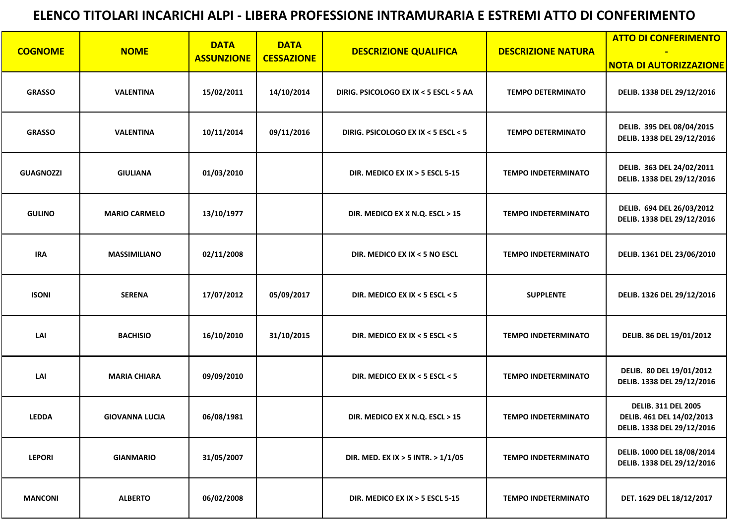|                  |                       | <b>DATA</b>       | <b>DATA</b>       |                                        |                            | <b>ATTO DI CONFERIMENTO</b>                                                           |
|------------------|-----------------------|-------------------|-------------------|----------------------------------------|----------------------------|---------------------------------------------------------------------------------------|
| <b>COGNOME</b>   | <b>NOME</b>           | <b>ASSUNZIONE</b> | <b>CESSAZIONE</b> | <b>DESCRIZIONE QUALIFICA</b>           | <b>DESCRIZIONE NATURA</b>  | <b>NOTA DI AUTORIZZAZIONE</b>                                                         |
| <b>GRASSO</b>    | <b>VALENTINA</b>      | 15/02/2011        | 14/10/2014        | DIRIG. PSICOLOGO EX IX < 5 ESCL < 5 AA | <b>TEMPO DETERMINATO</b>   | DELIB. 1338 DEL 29/12/2016                                                            |
| <b>GRASSO</b>    | <b>VALENTINA</b>      | 10/11/2014        | 09/11/2016        | DIRIG. PSICOLOGO EX IX < 5 ESCL < 5    | <b>TEMPO DETERMINATO</b>   | DELIB. 395 DEL 08/04/2015<br>DELIB. 1338 DEL 29/12/2016                               |
| <b>GUAGNOZZI</b> | <b>GIULIANA</b>       | 01/03/2010        |                   | DIR. MEDICO EX IX $>$ 5 ESCL 5-15      | <b>TEMPO INDETERMINATO</b> | DELIB. 363 DEL 24/02/2011<br>DELIB. 1338 DEL 29/12/2016                               |
| <b>GULINO</b>    | <b>MARIO CARMELO</b>  | 13/10/1977        |                   | DIR. MEDICO EX X N.Q. ESCL > 15        | <b>TEMPO INDETERMINATO</b> | DELIB. 694 DEL 26/03/2012<br>DELIB. 1338 DEL 29/12/2016                               |
| <b>IRA</b>       | <b>MASSIMILIANO</b>   | 02/11/2008        |                   | DIR. MEDICO EX IX < 5 NO ESCL          | <b>TEMPO INDETERMINATO</b> | DELIB. 1361 DEL 23/06/2010                                                            |
| <b>ISONI</b>     | <b>SERENA</b>         | 17/07/2012        | 05/09/2017        | DIR. MEDICO EX IX < 5 ESCL < 5         | <b>SUPPLENTE</b>           | DELIB. 1326 DEL 29/12/2016                                                            |
| LAI              | <b>BACHISIO</b>       | 16/10/2010        | 31/10/2015        | DIR. MEDICO EX IX < 5 ESCL < 5         | <b>TEMPO INDETERMINATO</b> | DELIB. 86 DEL 19/01/2012                                                              |
| LAI              | <b>MARIA CHIARA</b>   | 09/09/2010        |                   | DIR. MEDICO EX IX < 5 ESCL < 5         | <b>TEMPO INDETERMINATO</b> | DELIB. 80 DEL 19/01/2012<br>DELIB. 1338 DEL 29/12/2016                                |
| <b>LEDDA</b>     | <b>GIOVANNA LUCIA</b> | 06/08/1981        |                   | DIR. MEDICO EX X N.Q. ESCL > 15        | <b>TEMPO INDETERMINATO</b> | <b>DELIB. 311 DEL 2005</b><br>DELIB. 461 DEL 14/02/2013<br>DELIB. 1338 DEL 29/12/2016 |
| <b>LEPORI</b>    | <b>GIANMARIO</b>      | 31/05/2007        |                   | DIR. MED. EX IX > 5 INTR. > $1/1/05$   | <b>TEMPO INDETERMINATO</b> | DELIB. 1000 DEL 18/08/2014<br>DELIB. 1338 DEL 29/12/2016                              |
| <b>MANCONI</b>   | <b>ALBERTO</b>        | 06/02/2008        |                   | DIR. MEDICO EX IX $>$ 5 ESCL 5-15      | <b>TEMPO INDETERMINATO</b> | DET. 1629 DEL 18/12/2017                                                              |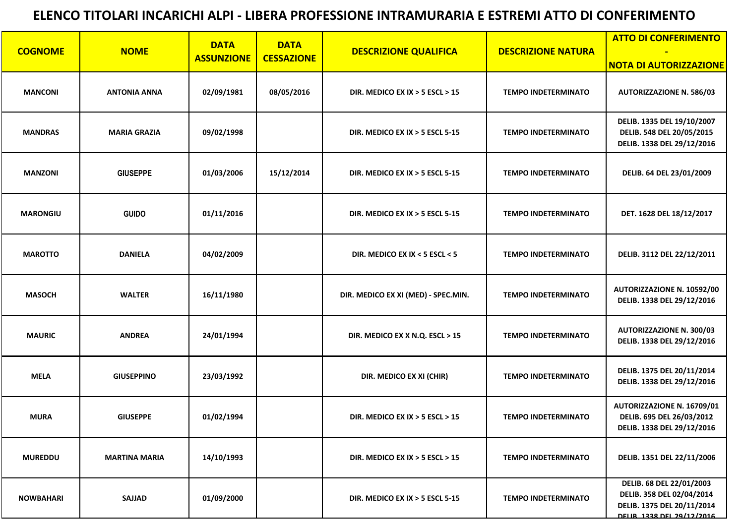|                  | <b>DATA</b><br><b>DATA</b> |                   | <b>ATTO DI CONFERIMENTO</b> |                                     |                            |                                                                                                                  |
|------------------|----------------------------|-------------------|-----------------------------|-------------------------------------|----------------------------|------------------------------------------------------------------------------------------------------------------|
| <b>COGNOME</b>   | <b>NOME</b>                | <b>ASSUNZIONE</b> | <b>CESSAZIONE</b>           | <b>DESCRIZIONE QUALIFICA</b>        | <b>DESCRIZIONE NATURA</b>  | <b>NOTA DI AUTORIZZAZIONE</b>                                                                                    |
| <b>MANCONI</b>   | <b>ANTONIA ANNA</b>        | 02/09/1981        | 08/05/2016                  | DIR. MEDICO EX IX $>$ 5 ESCL $>$ 15 | <b>TEMPO INDETERMINATO</b> | <b>AUTORIZZAZIONE N. 586/03</b>                                                                                  |
| <b>MANDRAS</b>   | <b>MARIA GRAZIA</b>        | 09/02/1998        |                             | DIR. MEDICO EX IX $>$ 5 ESCL 5-15   | <b>TEMPO INDETERMINATO</b> | DELIB. 1335 DEL 19/10/2007<br>DELIB. 548 DEL 20/05/2015<br>DELIB. 1338 DEL 29/12/2016                            |
| <b>MANZONI</b>   | <b>GIUSEPPE</b>            | 01/03/2006        | 15/12/2014                  | DIR. MEDICO EX IX $>$ 5 ESCL 5-15   | <b>TEMPO INDETERMINATO</b> | DELIB. 64 DEL 23/01/2009                                                                                         |
| <b>MARONGIU</b>  | <b>GUIDO</b>               | 01/11/2016        |                             | DIR. MEDICO EX IX > 5 ESCL 5-15     | <b>TEMPO INDETERMINATO</b> | DET. 1628 DEL 18/12/2017                                                                                         |
| <b>MAROTTO</b>   | <b>DANIELA</b>             | 04/02/2009        |                             | DIR. MEDICO EX IX < 5 ESCL < 5      | <b>TEMPO INDETERMINATO</b> | DELIB. 3112 DEL 22/12/2011                                                                                       |
| <b>MASOCH</b>    | <b>WALTER</b>              | 16/11/1980        |                             | DIR. MEDICO EX XI (MED) - SPEC.MIN. | <b>TEMPO INDETERMINATO</b> | <b>AUTORIZZAZIONE N. 10592/00</b><br>DELIB. 1338 DEL 29/12/2016                                                  |
| <b>MAURIC</b>    | <b>ANDREA</b>              | 24/01/1994        |                             | DIR. MEDICO EX X N.Q. ESCL > 15     | <b>TEMPO INDETERMINATO</b> | <b>AUTORIZZAZIONE N. 300/03</b><br>DELIB. 1338 DEL 29/12/2016                                                    |
| <b>MELA</b>      | <b>GIUSEPPINO</b>          | 23/03/1992        |                             | DIR. MEDICO EX XI (CHIR)            | <b>TEMPO INDETERMINATO</b> | DELIB. 1375 DEL 20/11/2014<br>DELIB. 1338 DEL 29/12/2016                                                         |
| <b>MURA</b>      | <b>GIUSEPPE</b>            | 01/02/1994        |                             | DIR. MEDICO EX IX $>$ 5 ESCL $>$ 15 | <b>TEMPO INDETERMINATO</b> | <b>AUTORIZZAZIONE N. 16709/01</b><br>DELIB. 695 DEL 26/03/2012<br>DELIB. 1338 DEL 29/12/2016                     |
| <b>MUREDDU</b>   | <b>MARTINA MARIA</b>       | 14/10/1993        |                             | DIR. MEDICO EX IX $>$ 5 ESCL $>$ 15 | <b>TEMPO INDETERMINATO</b> | DELIB. 1351 DEL 22/11/2006                                                                                       |
| <b>NOWBAHARI</b> | <b>SAJJAD</b>              | 01/09/2000        |                             | DIR. MEDICO EX IX $>$ 5 ESCL 5-15   | <b>TEMPO INDETERMINATO</b> | DELIB. 68 DEL 22/01/2003<br>DELIB. 358 DEL 02/04/2014<br>DELIB. 1375 DEL 20/11/2014<br>DELIR 1338 DEL 29/12/2016 |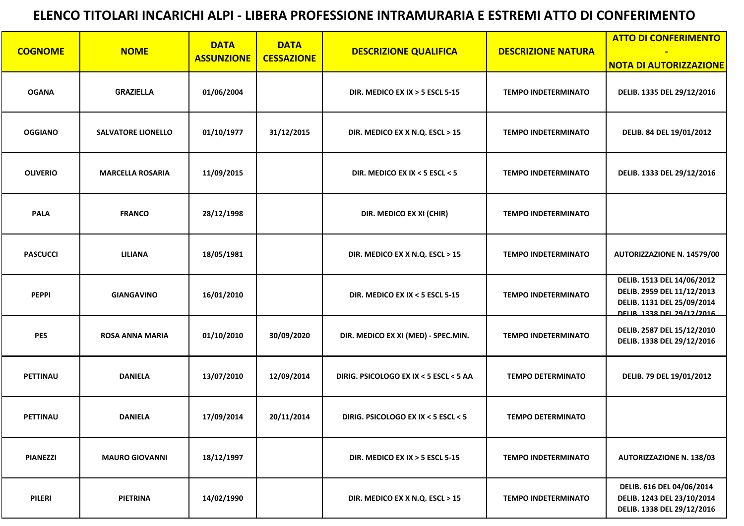|                 |                           | <b>DATA</b>       | <b>DATA</b>       |                                        |                            | <b>ATTO DI CONFERIMENTO</b>                                                                                         |
|-----------------|---------------------------|-------------------|-------------------|----------------------------------------|----------------------------|---------------------------------------------------------------------------------------------------------------------|
| <b>COGNOME</b>  | <b>NOME</b>               | <b>ASSUNZIONE</b> | <b>CESSAZIONE</b> | <b>DESCRIZIONE QUALIFICA</b>           | <b>DESCRIZIONE NATURA</b>  | <b>NOTA DI AUTORIZZAZIONE</b>                                                                                       |
| <b>OGANA</b>    | <b>GRAZIELLA</b>          | 01/06/2004        |                   | DIR. MEDICO EX IX $>$ 5 ESCL 5-15      | <b>TEMPO INDETERMINATO</b> | DELIB. 1335 DEL 29/12/2016                                                                                          |
| <b>OGGIANO</b>  | <b>SALVATORE LIONELLO</b> | 01/10/1977        | 31/12/2015        | DIR. MEDICO EX X N.Q. ESCL > 15        | <b>TEMPO INDETERMINATO</b> | DELIB. 84 DEL 19/01/2012                                                                                            |
| <b>OLIVERIO</b> | <b>MARCELLA ROSARIA</b>   | 11/09/2015        |                   | DIR. MEDICO EX IX < 5 ESCL < 5         | <b>TEMPO INDETERMINATO</b> | DELIB. 1333 DEL 29/12/2016                                                                                          |
| <b>PALA</b>     | <b>FRANCO</b>             | 28/12/1998        |                   | DIR. MEDICO EX XI (CHIR)               | <b>TEMPO INDETERMINATO</b> |                                                                                                                     |
| <b>PASCUCCI</b> | <b>LILIANA</b>            | 18/05/1981        |                   | DIR. MEDICO EX X N.Q. ESCL > 15        | <b>TEMPO INDETERMINATO</b> | <b>AUTORIZZAZIONE N. 14579/00</b>                                                                                   |
| <b>PEPPI</b>    | <b>GIANGAVINO</b>         | 16/01/2010        |                   | DIR. MEDICO EX IX < 5 ESCL 5-15        | <b>TEMPO INDETERMINATO</b> | DELIB. 1513 DEL 14/06/2012<br>DELIB. 2959 DEL 11/12/2013<br>DELIB. 1131 DEL 25/09/2014<br>DELIR 1338 DEL 29/12/2016 |
| <b>PES</b>      | <b>ROSA ANNA MARIA</b>    | 01/10/2010        | 30/09/2020        | DIR. MEDICO EX XI (MED) - SPEC.MIN.    | <b>TEMPO INDETERMINATO</b> | DELIB. 2587 DEL 15/12/2010<br>DELIB. 1338 DEL 29/12/2016                                                            |
| <b>PETTINAU</b> | <b>DANIELA</b>            | 13/07/2010        | 12/09/2014        | DIRIG. PSICOLOGO EX IX < 5 ESCL < 5 AA | <b>TEMPO DETERMINATO</b>   | DELIB. 79 DEL 19/01/2012                                                                                            |
| <b>PETTINAU</b> | <b>DANIELA</b>            | 17/09/2014        | 20/11/2014        | DIRIG. PSICOLOGO EX IX < 5 ESCL < 5    | <b>TEMPO DETERMINATO</b>   |                                                                                                                     |
| <b>PIANEZZI</b> | <b>MAURO GIOVANNI</b>     | 18/12/1997        |                   | DIR. MEDICO EX IX $>$ 5 ESCL 5-15      | <b>TEMPO INDETERMINATO</b> | <b>AUTORIZZAZIONE N. 138/03</b>                                                                                     |
| <b>PILERI</b>   | <b>PIETRINA</b>           | 14/02/1990        |                   | DIR. MEDICO EX X N.Q. ESCL > 15        | <b>TEMPO INDETERMINATO</b> | DELIB. 616 DEL 04/06/2014<br>DELIB. 1243 DEL 23/10/2014<br>DELIB. 1338 DEL 29/12/2016                               |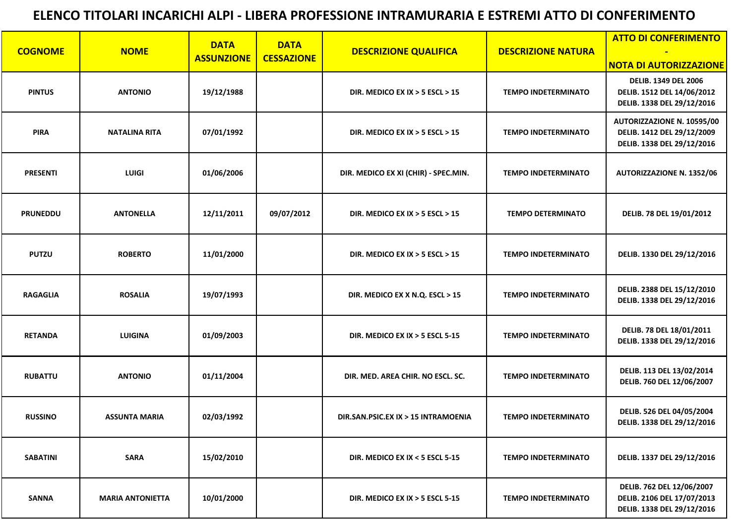|                 |                         | <b>DATA</b>       | <b>DATA</b>       |                                      |                            | <b>ATTO DI CONFERIMENTO</b>                                                                   |
|-----------------|-------------------------|-------------------|-------------------|--------------------------------------|----------------------------|-----------------------------------------------------------------------------------------------|
| <b>COGNOME</b>  | <b>NOME</b>             | <b>ASSUNZIONE</b> | <b>CESSAZIONE</b> | <b>DESCRIZIONE QUALIFICA</b>         | <b>DESCRIZIONE NATURA</b>  | <b>NOTA DI AUTORIZZAZIONE</b>                                                                 |
| <b>PINTUS</b>   | <b>ANTONIO</b>          | 19/12/1988        |                   | DIR. MEDICO EX IX $>$ 5 ESCL $>$ 15  | <b>TEMPO INDETERMINATO</b> | <b>DELIB. 1349 DEL 2006</b><br>DELIB. 1512 DEL 14/06/2012<br>DELIB. 1338 DEL 29/12/2016       |
| <b>PIRA</b>     | <b>NATALINA RITA</b>    | 07/01/1992        |                   | DIR. MEDICO EX IX $>$ 5 ESCL $>$ 15  | <b>TEMPO INDETERMINATO</b> | <b>AUTORIZZAZIONE N. 10595/00</b><br>DELIB. 1412 DEL 29/12/2009<br>DELIB. 1338 DEL 29/12/2016 |
| <b>PRESENTI</b> | <b>LUIGI</b>            | 01/06/2006        |                   | DIR. MEDICO EX XI (CHIR) - SPEC.MIN. | <b>TEMPO INDETERMINATO</b> | <b>AUTORIZZAZIONE N. 1352/06</b>                                                              |
| <b>PRUNEDDU</b> | <b>ANTONELLA</b>        | 12/11/2011        | 09/07/2012        | DIR. MEDICO EX IX $>$ 5 ESCL $>$ 15  | <b>TEMPO DETERMINATO</b>   | DELIB. 78 DEL 19/01/2012                                                                      |
| <b>PUTZU</b>    | <b>ROBERTO</b>          | 11/01/2000        |                   | DIR. MEDICO EX IX $>$ 5 ESCL $>$ 15  | <b>TEMPO INDETERMINATO</b> | DELIB. 1330 DEL 29/12/2016                                                                    |
| <b>RAGAGLIA</b> | <b>ROSALIA</b>          | 19/07/1993        |                   | DIR. MEDICO EX X N.Q. ESCL > 15      | <b>TEMPO INDETERMINATO</b> | DELIB. 2388 DEL 15/12/2010<br>DELIB. 1338 DEL 29/12/2016                                      |
| <b>RETANDA</b>  | <b>LUIGINA</b>          | 01/09/2003        |                   | DIR. MEDICO EX IX $>$ 5 ESCL 5-15    | <b>TEMPO INDETERMINATO</b> | DELIB. 78 DEL 18/01/2011<br>DELIB. 1338 DEL 29/12/2016                                        |
| <b>RUBATTU</b>  | <b>ANTONIO</b>          | 01/11/2004        |                   | DIR. MED. AREA CHIR. NO ESCL. SC.    | <b>TEMPO INDETERMINATO</b> | DELIB. 113 DEL 13/02/2014<br>DELIB. 760 DEL 12/06/2007                                        |
| <b>RUSSINO</b>  | <b>ASSUNTA MARIA</b>    | 02/03/1992        |                   | DIR.SAN.PSIC.EX IX > 15 INTRAMOENIA  | <b>TEMPO INDETERMINATO</b> | DELIB. 526 DEL 04/05/2004<br>DELIB. 1338 DEL 29/12/2016                                       |
| <b>SABATINI</b> | <b>SARA</b>             | 15/02/2010        |                   | DIR. MEDICO EX IX < 5 ESCL 5-15      | <b>TEMPO INDETERMINATO</b> | DELIB. 1337 DEL 29/12/2016                                                                    |
| <b>SANNA</b>    | <b>MARIA ANTONIETTA</b> | 10/01/2000        |                   | DIR. MEDICO EX IX > 5 ESCL 5-15      | <b>TEMPO INDETERMINATO</b> | DELIB. 762 DEL 12/06/2007<br>DELIB. 2106 DEL 17/07/2013<br>DELIB. 1338 DEL 29/12/2016         |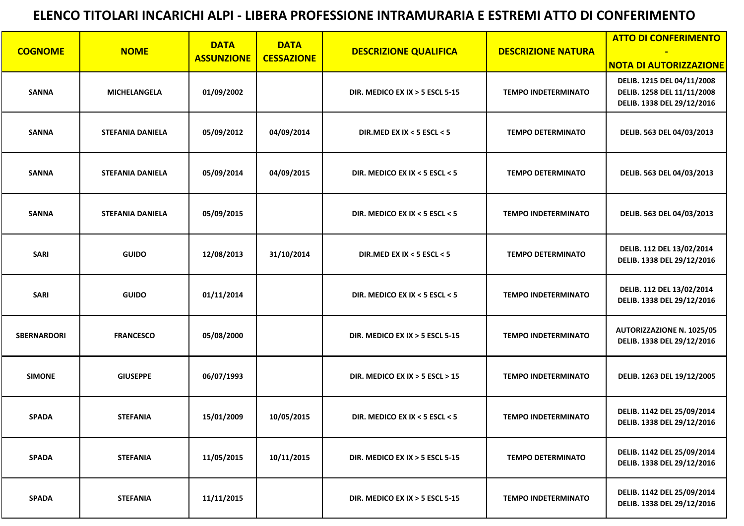| <b>COGNOME</b>     | <b>NOME</b>             | <b>DATA</b>       | <b>DATA</b>       | <b>DESCRIZIONE QUALIFICA</b>        | <b>DESCRIZIONE NATURA</b>  | <b>ATTO DI CONFERIMENTO</b>                                                            |
|--------------------|-------------------------|-------------------|-------------------|-------------------------------------|----------------------------|----------------------------------------------------------------------------------------|
|                    |                         | <b>ASSUNZIONE</b> | <b>CESSAZIONE</b> |                                     |                            | <b>NOTA DI AUTORIZZAZIONE</b>                                                          |
| <b>SANNA</b>       | <b>MICHELANGELA</b>     | 01/09/2002        |                   | DIR. MEDICO EX IX $>$ 5 ESCL 5-15   | <b>TEMPO INDETERMINATO</b> | DELIB. 1215 DEL 04/11/2008<br>DELIB. 1258 DEL 11/11/2008<br>DELIB. 1338 DEL 29/12/2016 |
| <b>SANNA</b>       | <b>STEFANIA DANIELA</b> | 05/09/2012        | 04/09/2014        | DIR.MED EX IX < 5 ESCL < 5          | <b>TEMPO DETERMINATO</b>   | DELIB. 563 DEL 04/03/2013                                                              |
| <b>SANNA</b>       | <b>STEFANIA DANIELA</b> | 05/09/2014        | 04/09/2015        | DIR. MEDICO EX IX < 5 ESCL < 5      | <b>TEMPO DETERMINATO</b>   | DELIB. 563 DEL 04/03/2013                                                              |
| <b>SANNA</b>       | <b>STEFANIA DANIELA</b> | 05/09/2015        |                   | DIR. MEDICO EX IX < 5 ESCL < 5      | <b>TEMPO INDETERMINATO</b> | DELIB. 563 DEL 04/03/2013                                                              |
| <b>SARI</b>        | <b>GUIDO</b>            | 12/08/2013        | 31/10/2014        | DIR.MED EX IX < 5 ESCL < 5          | <b>TEMPO DETERMINATO</b>   | DELIB. 112 DEL 13/02/2014<br>DELIB. 1338 DEL 29/12/2016                                |
| <b>SARI</b>        | <b>GUIDO</b>            | 01/11/2014        |                   | DIR. MEDICO EX IX < 5 ESCL < 5      | <b>TEMPO INDETERMINATO</b> | DELIB. 112 DEL 13/02/2014<br>DELIB. 1338 DEL 29/12/2016                                |
| <b>SBERNARDORI</b> | <b>FRANCESCO</b>        | 05/08/2000        |                   | DIR. MEDICO EX IX $>$ 5 ESCL 5-15   | <b>TEMPO INDETERMINATO</b> | <b>AUTORIZZAZIONE N. 1025/05</b><br>DELIB. 1338 DEL 29/12/2016                         |
| <b>SIMONE</b>      | <b>GIUSEPPE</b>         | 06/07/1993        |                   | DIR. MEDICO EX IX $>$ 5 ESCL $>$ 15 | <b>TEMPO INDETERMINATO</b> | DELIB. 1263 DEL 19/12/2005                                                             |
| <b>SPADA</b>       | <b>STEFANIA</b>         | 15/01/2009        | 10/05/2015        | DIR. MEDICO EX IX < 5 ESCL < 5      | <b>TEMPO INDETERMINATO</b> | DELIB. 1142 DEL 25/09/2014<br>DELIB. 1338 DEL 29/12/2016                               |
| <b>SPADA</b>       | <b>STEFANIA</b>         | 11/05/2015        | 10/11/2015        | DIR. MEDICO EX IX $>$ 5 ESCL 5-15   | <b>TEMPO DETERMINATO</b>   | DELIB. 1142 DEL 25/09/2014<br>DELIB. 1338 DEL 29/12/2016                               |
| <b>SPADA</b>       | <b>STEFANIA</b>         | 11/11/2015        |                   | DIR. MEDICO EX IX $>$ 5 ESCL 5-15   | <b>TEMPO INDETERMINATO</b> | DELIB. 1142 DEL 25/09/2014<br>DELIB. 1338 DEL 29/12/2016                               |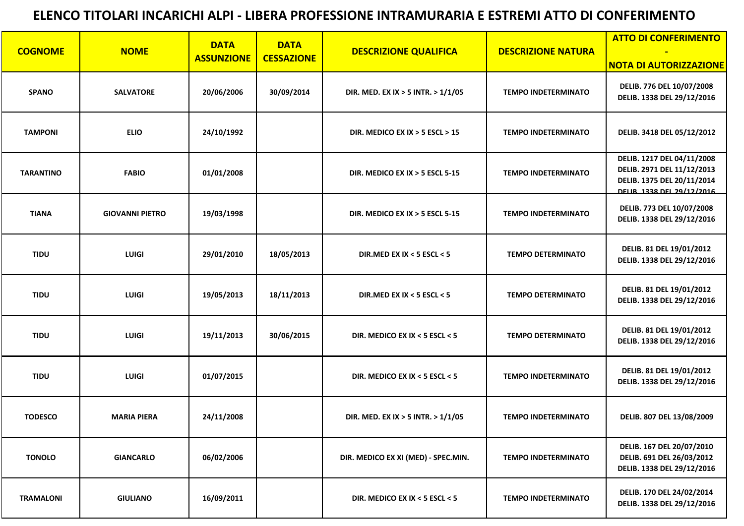| <b>COGNOME</b>   | <b>NOME</b>            | <b>DATA</b>       | <b>DATA</b>       | <b>DESCRIZIONE QUALIFICA</b>         | <b>DESCRIZIONE NATURA</b>  | <b>ATTO DI CONFERIMENTO</b>                                                                                         |
|------------------|------------------------|-------------------|-------------------|--------------------------------------|----------------------------|---------------------------------------------------------------------------------------------------------------------|
|                  |                        | <b>ASSUNZIONE</b> | <b>CESSAZIONE</b> |                                      |                            | <b>NOTA DI AUTORIZZAZIONE</b>                                                                                       |
| <b>SPANO</b>     | <b>SALVATORE</b>       | 20/06/2006        | 30/09/2014        | DIR. MED. EX IX > 5 INTR. > $1/1/05$ | <b>TEMPO INDETERMINATO</b> | DELIB. 776 DEL 10/07/2008<br>DELIB. 1338 DEL 29/12/2016                                                             |
| <b>TAMPONI</b>   | <b>ELIO</b>            | 24/10/1992        |                   | DIR. MEDICO EX IX $>$ 5 ESCL $>$ 15  | <b>TEMPO INDETERMINATO</b> | DELIB. 3418 DEL 05/12/2012                                                                                          |
| <b>TARANTINO</b> | <b>FABIO</b>           | 01/01/2008        |                   | DIR. MEDICO EX IX $>$ 5 ESCL 5-15    | <b>TEMPO INDETERMINATO</b> | DELIB. 1217 DEL 04/11/2008<br>DELIB. 2971 DEL 11/12/2013<br>DELIB. 1375 DEL 20/11/2014<br>DELIR 1338 DEL 29/12/2016 |
| <b>TIANA</b>     | <b>GIOVANNI PIETRO</b> | 19/03/1998        |                   | DIR. MEDICO EX IX $>$ 5 ESCL 5-15    | <b>TEMPO INDETERMINATO</b> | DELIB. 773 DEL 10/07/2008<br>DELIB. 1338 DEL 29/12/2016                                                             |
| <b>TIDU</b>      | <b>LUIGI</b>           | 29/01/2010        | 18/05/2013        | DIR.MED EX IX < 5 ESCL < 5           | <b>TEMPO DETERMINATO</b>   | <b>DELIB. 81 DEL 19/01/2012</b><br>DELIB. 1338 DEL 29/12/2016                                                       |
| <b>TIDU</b>      | <b>LUIGI</b>           | 19/05/2013        | 18/11/2013        | DIR.MED EX IX < 5 ESCL < 5           | <b>TEMPO DETERMINATO</b>   | <b>DELIB. 81 DEL 19/01/2012</b><br>DELIB. 1338 DEL 29/12/2016                                                       |
| <b>TIDU</b>      | <b>LUIGI</b>           | 19/11/2013        | 30/06/2015        | DIR. MEDICO EX IX < 5 ESCL < 5       | <b>TEMPO DETERMINATO</b>   | DELIB. 81 DEL 19/01/2012<br>DELIB. 1338 DEL 29/12/2016                                                              |
| <b>TIDU</b>      | <b>LUIGI</b>           | 01/07/2015        |                   | DIR. MEDICO EX IX < 5 ESCL < 5       | <b>TEMPO INDETERMINATO</b> | DELIB. 81 DEL 19/01/2012<br>DELIB. 1338 DEL 29/12/2016                                                              |
| <b>TODESCO</b>   | <b>MARIA PIERA</b>     | 24/11/2008        |                   | DIR. MED. EX IX > 5 INTR. > $1/1/05$ | <b>TEMPO INDETERMINATO</b> | DELIB. 807 DEL 13/08/2009                                                                                           |
| <b>TONOLO</b>    | <b>GIANCARLO</b>       | 06/02/2006        |                   | DIR. MEDICO EX XI (MED) - SPEC.MIN.  | <b>TEMPO INDETERMINATO</b> | DELIB. 167 DEL 20/07/2010<br>DELIB. 691 DEL 26/03/2012<br>DELIB. 1338 DEL 29/12/2016                                |
| <b>TRAMALONI</b> | <b>GIULIANO</b>        | 16/09/2011        |                   | DIR. MEDICO EX IX < 5 ESCL < 5       | <b>TEMPO INDETERMINATO</b> | DELIB. 170 DEL 24/02/2014<br>DELIB. 1338 DEL 29/12/2016                                                             |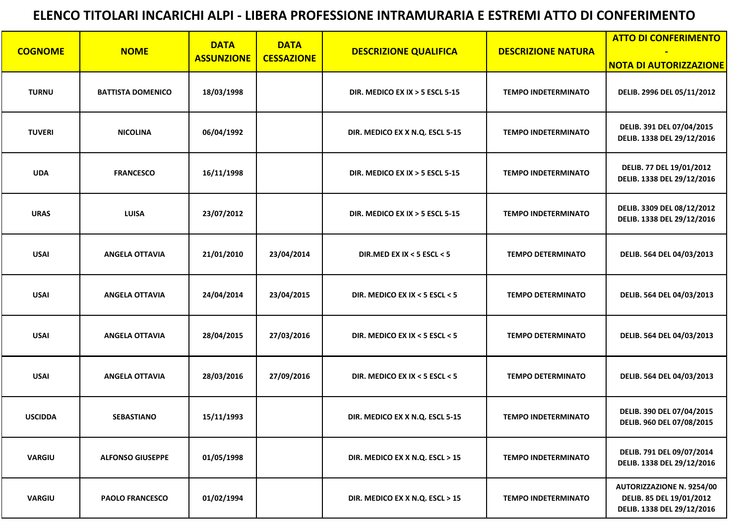|                |                          | <b>DATA</b>       | <b>DATA</b>       |                                   |                            | <b>ATTO DI CONFERIMENTO</b>                                                                |
|----------------|--------------------------|-------------------|-------------------|-----------------------------------|----------------------------|--------------------------------------------------------------------------------------------|
| <b>COGNOME</b> | <b>NOME</b>              | <b>ASSUNZIONE</b> | <b>CESSAZIONE</b> | <b>DESCRIZIONE QUALIFICA</b>      | <b>DESCRIZIONE NATURA</b>  | <b>NOTA DI AUTORIZZAZIONE</b>                                                              |
| <b>TURNU</b>   | <b>BATTISTA DOMENICO</b> | 18/03/1998        |                   | DIR. MEDICO EX IX $>$ 5 ESCL 5-15 | <b>TEMPO INDETERMINATO</b> | DELIB. 2996 DEL 05/11/2012                                                                 |
| <b>TUVERI</b>  | <b>NICOLINA</b>          | 06/04/1992        |                   | DIR. MEDICO EX X N.Q. ESCL 5-15   | <b>TEMPO INDETERMINATO</b> | DELIB. 391 DEL 07/04/2015<br>DELIB. 1338 DEL 29/12/2016                                    |
| <b>UDA</b>     | <b>FRANCESCO</b>         | 16/11/1998        |                   | DIR. MEDICO EX IX $>$ 5 ESCL 5-15 | <b>TEMPO INDETERMINATO</b> | DELIB. 77 DEL 19/01/2012<br>DELIB. 1338 DEL 29/12/2016                                     |
| <b>URAS</b>    | <b>LUISA</b>             | 23/07/2012        |                   | DIR. MEDICO EX IX $>$ 5 ESCL 5-15 | <b>TEMPO INDETERMINATO</b> | DELIB. 3309 DEL 08/12/2012<br>DELIB. 1338 DEL 29/12/2016                                   |
| <b>USAI</b>    | <b>ANGELA OTTAVIA</b>    | 21/01/2010        | 23/04/2014        | DIR.MED EX IX < 5 ESCL < 5        | <b>TEMPO DETERMINATO</b>   | DELIB. 564 DEL 04/03/2013                                                                  |
| <b>USAI</b>    | <b>ANGELA OTTAVIA</b>    | 24/04/2014        | 23/04/2015        | DIR. MEDICO EX IX < 5 ESCL < 5    | <b>TEMPO DETERMINATO</b>   | DELIB. 564 DEL 04/03/2013                                                                  |
| <b>USAI</b>    | <b>ANGELA OTTAVIA</b>    | 28/04/2015        | 27/03/2016        | DIR. MEDICO EX IX < 5 ESCL < 5    | <b>TEMPO DETERMINATO</b>   | DELIB. 564 DEL 04/03/2013                                                                  |
| <b>USAI</b>    | <b>ANGELA OTTAVIA</b>    | 28/03/2016        | 27/09/2016        | DIR. MEDICO EX IX < 5 ESCL < 5    | <b>TEMPO DETERMINATO</b>   | DELIB. 564 DEL 04/03/2013                                                                  |
| <b>USCIDDA</b> | <b>SEBASTIANO</b>        | 15/11/1993        |                   | DIR. MEDICO EX X N.Q. ESCL 5-15   | <b>TEMPO INDETERMINATO</b> | DELIB. 390 DEL 07/04/2015<br>DELIB. 960 DEL 07/08/2015                                     |
| <b>VARGIU</b>  | <b>ALFONSO GIUSEPPE</b>  | 01/05/1998        |                   | DIR. MEDICO EX X N.Q. ESCL > 15   | <b>TEMPO INDETERMINATO</b> | DELIB. 791 DEL 09/07/2014<br>DELIB. 1338 DEL 29/12/2016                                    |
| <b>VARGIU</b>  | <b>PAOLO FRANCESCO</b>   | 01/02/1994        |                   | DIR. MEDICO EX X N.Q. ESCL > 15   | <b>TEMPO INDETERMINATO</b> | <b>AUTORIZZAZIONE N. 9254/00</b><br>DELIB. 85 DEL 19/01/2012<br>DELIB. 1338 DEL 29/12/2016 |